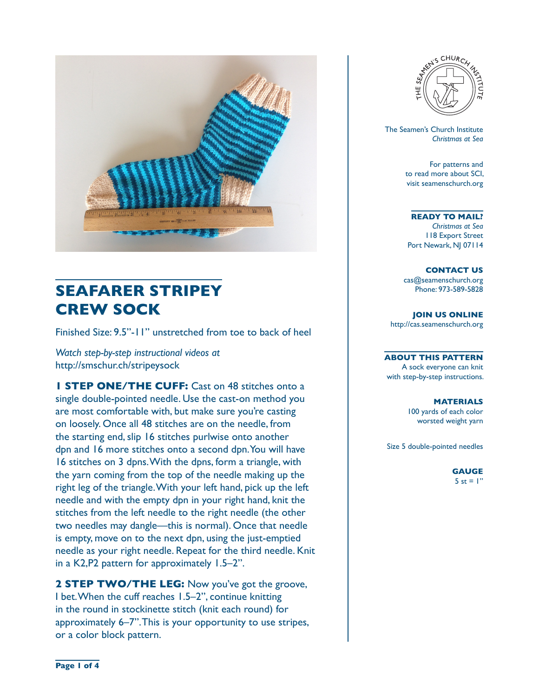

# **SEAFARER STRIPEY CREW SOCK**

Finished Size: 9.5"-11" unstretched from toe to back of heel

*Watch step-by-step instructional videos at*  http://smschur.ch/stripeysock

**1 STEP ONE/THE CUFF:** Cast on 48 stitches onto a single double-pointed needle. Use the cast-on method you are most comfortable with, but make sure you're casting on loosely. Once all 48 stitches are on the needle, from the starting end, slip 16 stitches purlwise onto another dpn and 16 more stitches onto a second dpn. You will have 16 stitches on 3 dpns. With the dpns, form a triangle, with the yarn coming from the top of the needle making up the right leg of the triangle. With your left hand, pick up the left needle and with the empty dpn in your right hand, knit the stitches from the left needle to the right needle (the other two needles may dangle—this is normal). Once that needle is empty, move on to the next dpn, using the just-emptied needle as your right needle. Repeat for the third needle. Knit in a K2,P2 pattern for approximately 1.5–2".

**2 STEP TWO/THE LEG:** Now you've got the groove, I bet. When the cuff reaches 1.5–2", continue knitting in the round in stockinette stitch (knit each round) for approximately 6–7". This is your opportunity to use stripes, or a color block pattern.



 The Seamen's Church Institute *Christmas at Sea*

> For patterns and to read more about SCI, visit seamenschurch.org

#### **READY TO MAIL?**

*Christmas at Sea* 118 Export Street Port Newark, NJ 07114

**CONTACT US** cas@seamenschurch.org Phone: 973-589-5828

**JOIN US ONLINE**  http://cas.seamenschurch.org

**ABOUT THIS PATTERN** A sock everyone can knit with step-by-step instructions.

> **MATERIALS** 100 yards of each color worsted weight yarn

Size 5 double-pointed needles

**GAUGE** 5 st =  $\mathsf{I}$ "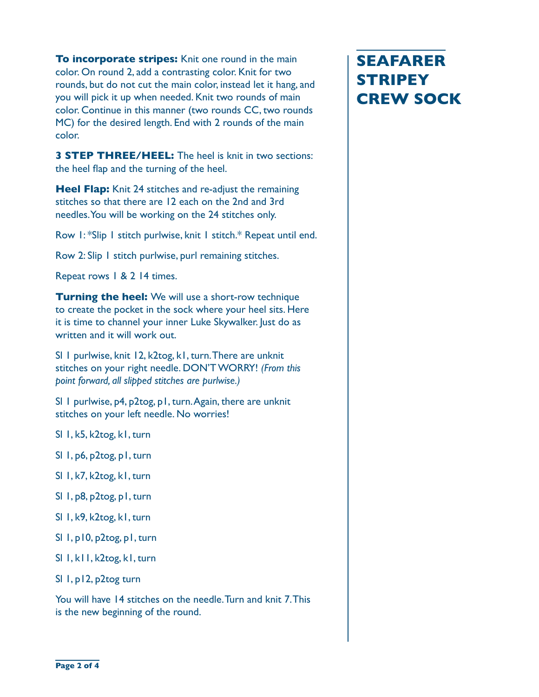**To incorporate stripes:** Knit one round in the main color. On round 2, add a contrasting color. Knit for two rounds, but do not cut the main color, instead let it hang, and you will pick it up when needed. Knit two rounds of main color. Continue in this manner (two rounds CC, two rounds MC) for the desired length. End with 2 rounds of the main color.

**3 STEP THREE/HEEL:** The heel is knit in two sections: the heel flap and the turning of the heel.

**Heel Flap:** Knit 24 stitches and re-adjust the remaining stitches so that there are 12 each on the 2nd and 3rd needles. You will be working on the 24 stitches only.

Row 1: \*Slip 1 stitch purlwise, knit 1 stitch.\* Repeat until end.

Row 2: Slip 1 stitch purlwise, purl remaining stitches.

Repeat rows 1 & 2 14 times.

**Turning the heel:** We will use a short-row technique to create the pocket in the sock where your heel sits. Here it is time to channel your inner Luke Skywalker. Just do as written and it will work out.

Sl 1 purlwise, knit 12, k2tog, k1, turn. There are unknit stitches on your right needle. DON'T WORRY! *(From this point forward, all slipped stitches are purlwise.)*

Sl 1 purlwise, p4, p2tog, p1, turn. Again, there are unknit stitches on your left needle. No worries!

- Sl 1, k5, k2tog, k1, turn
- Sl 1, p6, p2tog, p1, turn
- Sl 1, k7, k2tog, k1, turn
- Sl 1, p8, p2tog, p1, turn
- Sl 1, k9, k2tog, k1, turn
- Sl 1, p10, p2tog, p1, turn
- Sl 1, k11, k2tog, k1, turn
- Sl 1, p12, p2tog turn

You will have 14 stitches on the needle. Turn and knit 7. This is the new beginning of the round.

# **SEAFARER STRIPEY CREW SOCK**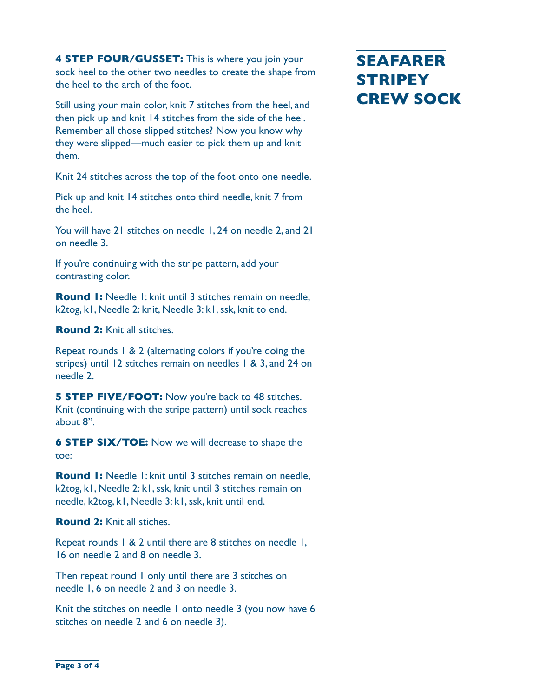**4 STEP FOUR/GUSSET:** This is where you join your sock heel to the other two needles to create the shape from the heel to the arch of the foot.

Still using your main color, knit 7 stitches from the heel, and then pick up and knit 14 stitches from the side of the heel. Remember all those slipped stitches? Now you know why they were slipped—much easier to pick them up and knit them.

Knit 24 stitches across the top of the foot onto one needle.

Pick up and knit 14 stitches onto third needle, knit 7 from the heel.

You will have 21 stitches on needle 1, 24 on needle 2, and 21 on needle 3.

If you're continuing with the stripe pattern, add your contrasting color.

**Round 1:** Needle 1: knit until 3 stitches remain on needle, k2tog, k1, Needle 2: knit, Needle 3: k1, ssk, knit to end.

**Round 2:** Knit all stitches.

Repeat rounds 1 & 2 (alternating colors if you're doing the stripes) until 12 stitches remain on needles 1 & 3, and 24 on needle 2.

**5 STEP FIVE/FOOT:** Now you're back to 48 stitches. Knit (continuing with the stripe pattern) until sock reaches about 8".

**6 STEP SIX/TOE:** Now we will decrease to shape the toe:

**Round 1:** Needle 1: knit until 3 stitches remain on needle, k2tog, k1, Needle 2: k1, ssk, knit until 3 stitches remain on needle, k2tog, k1, Needle 3: k1, ssk, knit until end.

**Round 2:** Knit all stiches.

Repeat rounds 1 & 2 until there are 8 stitches on needle 1, 16 on needle 2 and 8 on needle 3.

Then repeat round I only until there are 3 stitches on needle 1, 6 on needle 2 and 3 on needle 3.

Knit the stitches on needle I onto needle 3 (you now have 6 stitches on needle 2 and 6 on needle 3).

## **SEAFARER STRIPEY CREW SOCK**